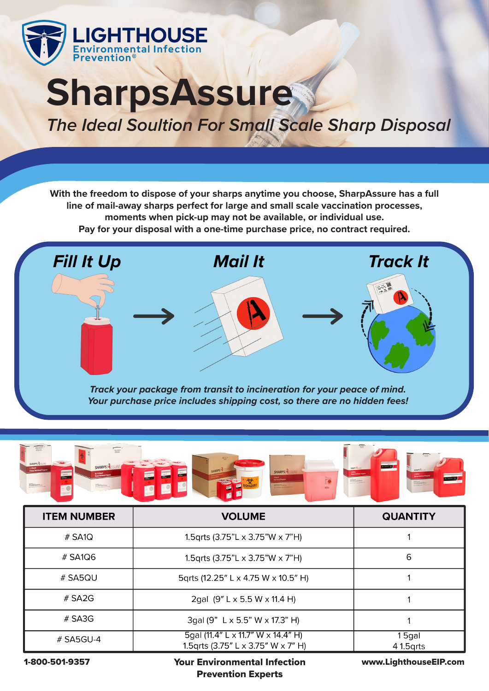

## **SharpsAssure The Ideal Soultion For Small Scale Sharp Disposal**

**With the freedom to dispose of your sharps anytime you choose, SharpAssure has a full line of mail-away sharps perfect for large and small scale vaccination processes, moments when pick-up may not be available, or individual use. Pay for your disposal with a one-time purchase price, no contract required.**





| <b>ITEM NUMBER</b> | <b>VOLUME</b>                                                             | <b>QUANTITY</b>     |
|--------------------|---------------------------------------------------------------------------|---------------------|
| $#$ SA1Q           | 1.5qrts (3.75"L $\times$ 3.75"W $\times$ 7"H)                             |                     |
| $\#$ SA1Q6         | 1.5qrts (3.75"L $\times$ 3.75"W $\times$ 7"H)                             | 6                   |
| # SA5QU            | 5qrts (12.25" L x 4.75 W x 10.5" H)                                       |                     |
| # $S A 2G$         | 2gal $(9'' L \times 5.5 W \times 11.4 H)$                                 |                     |
| $#$ SA3G           | 3gal (9" L x 5.5" W x 17.3" H)                                            |                     |
| $\#$ SA5GU-4       | 5gal (11.4" L x 11.7" W x 14.4" H)<br>1.5 grts (3.75" L x 3.75" W x 7" H) | 15gal<br>4 1.5 grts |

1-800-501-9357

Your Environmental Infection www.LighthouseEIP.com Prevention Experts